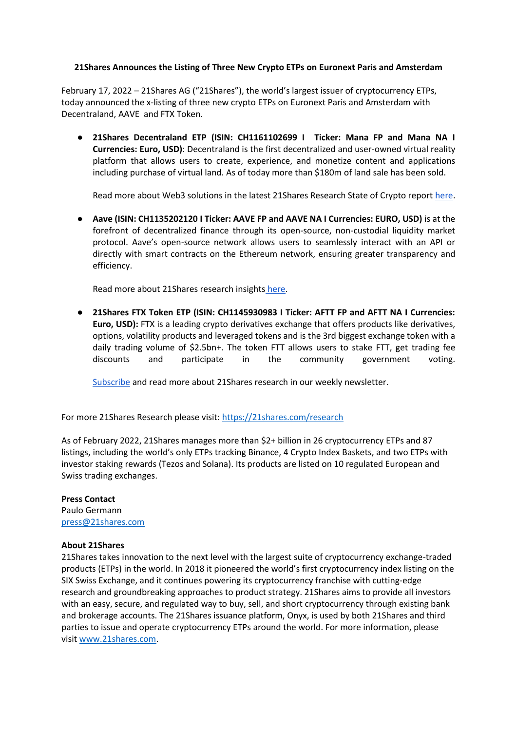## **21Shares Announces the Listing of Three New Crypto ETPs on Euronext Paris and Amsterdam**

February 17, 2022 – 21Shares AG ("21Shares"), the world's largest issuer of cryptocurrency ETPs, today announced the x-listing of three new crypto ETPs on Euronext Paris and Amsterdam with Decentraland, AAVE and FTX Token.

● **21Shares Decentraland ETP (ISIN: CH1161102699 I Ticker: Mana FP and Mana NA I Currencies: Euro, USD)**: Decentraland is the first decentralized and user-owned virtual reality platform that allows users to create, experience, and monetize content and applications including purchase of virtual land. As of today more than \$180m of land sale has been sold.

Read more about Web3 solutions in the latest 21Shares Research State of Crypto report [here.](https://connect.21shares.com/web3-magazine)

● **Aave (ISIN: CH1135202120 I Ticker: AAVE FP and AAVE NA I Currencies: EURO, USD)** is at the forefront of decentralized finance through its open-source, non-custodial liquidity market protocol. Aave's open-source network allows users to seamlessly interact with an API or directly with smart contracts on the Ethereum network, ensuring greater transparency and efficiency.

Read more about 21Shares research insights [here.](https://21shares.com/research?page=3)

● **21Shares FTX Token ETP (ISIN: CH1145930983 I Ticker: AFTT FP and AFTT NA I Currencies: Euro, USD):** FTX is a leading crypto derivatives exchange that offers products like derivatives, options, volatility products and leveraged tokens and is the 3rd biggest exchange token with a daily trading volume of \$2.5bn+. The token FTT allows users to stake FTT, get trading fee discounts and participate in the community government voting.

[Subscribe](https://21shares.com/research) and read more about 21Shares research in our weekly newsletter.

For more 21Shares Research please visit[: https://21shares.com/research](https://21shares.com/research)

As of February 2022, 21Shares manages more than \$2+ billion in 26 cryptocurrency ETPs and 87 listings, including the world's only ETPs tracking Binance, 4 Crypto Index Baskets, and two ETPs with investor staking rewards (Tezos and Solana). Its products are listed on 10 regulated European and Swiss trading exchanges.

## **Press Contact**

Paulo Germann [press@21shares.com](mailto:press@21shares.com)

## **About 21Shares**

21Shares takes innovation to the next level with the largest suite of cryptocurrency exchange-traded products (ETPs) in the world. In 2018 it pioneered the world's first cryptocurrency index listing on the SIX Swiss Exchange, and it continues powering its cryptocurrency franchise with cutting-edge research and groundbreaking approaches to product strategy. 21Shares aims to provide all investors with an easy, secure, and regulated way to buy, sell, and short cryptocurrency through existing bank and brokerage accounts. The 21Shares issuance platform, Onyx, is used by both 21Shares and third parties to issue and operate cryptocurrency ETPs around the world. For more information, please visit [www.21shares.com.](http://www.21shares.com/)